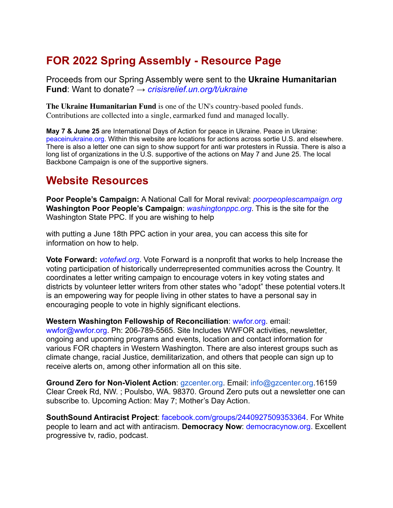## **FOR 2022 Spring Assembly - Resource Page**

Proceeds from our Spring Assembly were sent to the **Ukraine Humanitarian Fund**: Want to donate? → *crisisrelief.un.org/t/ukraine* 

**The Ukraine Humanitarian Fund** is one of the UN's country-based pooled funds. Contributions are collected into a single, earmarked fund and managed locally.

**May 7 & June 25** are International Days of Action for peace in Ukraine. Peace in Ukraine: peaceinukraine.org. Within this website are locations for actions across sortie U.S. and elsewhere. There is also a letter one can sign to show support for anti war protesters in Russia. There is also a long list of organizations in the U.S. supportive of the actions on May 7 and June 25. The local Backbone Campaign is one of the supportive signers.

## **Website Resources**

**Poor People's Campaign:** A National Call for Moral revival: *poorpeoplescampaign.org* **Washington Poor People's Campaign**: *washingtonppc.org*. This is the site for the Washington State PPC. If you are wishing to help

with putting a June 18th PPC action in your area, you can access this site for information on how to help.

**Vote Forward:** *votefwd.org*. Vote Forward is a nonprofit that works to help Increase the voting participation of historically underrepresented communities across the Country. It coordinates a letter writing campaign to encourage voters in key voting states and districts by volunteer letter writers from other states who "adopt" these potential voters.It is an empowering way for people living in other states to have a personal say in encouraging people to vote in highly significant elections.

**Western Washington Fellowship of Reconciliation**: wwfor.org. email:

wwfor@wwfor.org. Ph: 206-789-5565. Site Includes WWFOR activities, newsletter, ongoing and upcoming programs and events, location and contact information for various FOR chapters in Western Washington. There are also interest groups such as climate change, racial Justice, demilitarization, and others that people can sign up to receive alerts on, among other information all on this site.

**Ground Zero for Non-Violent Action**: gzcenter.org. Email: info@gzcenter.org.16159 Clear Creek Rd, NW. ; Poulsbo, WA. 98370. Ground Zero puts out a newsletter one can subscribe to. Upcoming Action: May 7; Mother's Day Action.

**SouthSound Antiracist Project**: facebook.com/groups/2440927509353364. For White people to learn and act with antiracism. **Democracy Now**: democracynow.org. Excellent progressive tv, radio, podcast.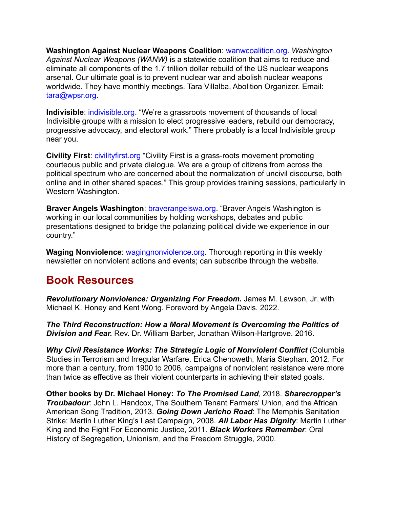**Washington Against Nuclear Weapons Coalition**: wanwcoalition.org. *Washington Against Nuclear Weapons (WANW)* is a statewide coalition that aims to reduce and eliminate all components of the 1.7 trillion dollar rebuild of the US nuclear weapons arsenal. Our ultimate goal is to prevent nuclear war and abolish nuclear weapons worldwide. They have monthly meetings. Tara Villalba, Abolition Organizer. Email: tara@wpsr.org.

**Indivisible**: indivisible.org. "We're a grassroots movement of thousands of local Indivisible groups with a mission to elect progressive leaders, rebuild our democracy, progressive advocacy, and electoral work." There probably is a local Indivisible group near you.

**Civility First**: civilityfirst.org "Civility First is a grass-roots movement promoting courteous public and private dialogue. We are a group of citizens from across the political spectrum who are concerned about the normalization of uncivil discourse, both online and in other shared spaces." This group provides training sessions, particularly in Western Washington.

**Braver Angels Washington**: braverangelswa.org. "Braver Angels Washington is working in our local communities by holding workshops, debates and public presentations designed to bridge the polarizing political divide we experience in our country."

**Waging Nonviolence**: wagingnonviolence.org. Thorough reporting in this weekly newsletter on nonviolent actions and events; can subscribe through the website.

## **Book Resources**

*Revolutionary Nonviolence: Organizing For Freedom.* James M. Lawson, Jr. with Michael K. Honey and Kent Wong. Foreword by Angela Davis. 2022.

*The Third Reconstruction: How a Moral Movement is Overcoming the Politics of Division and Fear.* Rev. Dr. William Barber, Jonathan Wilson-Hartgrove. 2016.

*Why Civil Resistance Works: The Strategic Logic of Nonviolent Conflict* (Columbia Studies in Terrorism and Irregular Warfare. Erica Chenoweth, Maria Stephan. 2012. For more than a century, from 1900 to 2006, campaigns of nonviolent resistance were more than twice as effective as their violent counterparts in achieving their stated goals.

**Other books by Dr. Michael Honey:** *To The Promised Land*, 2018. *Sharecropper's Troubadour*: John L. Handcox, The Southern Tenant Farmers' Union, and the African American Song Tradition, 2013. *Going Down Jericho Road*: The Memphis Sanitation Strike: Martin Luther King's Last Campaign, 2008. *All Labor Has Dignity*: Martin Luther King and the Fight For Economic Justice, 2011. *Black Workers Remember*: Oral History of Segregation, Unionism, and the Freedom Struggle, 2000.